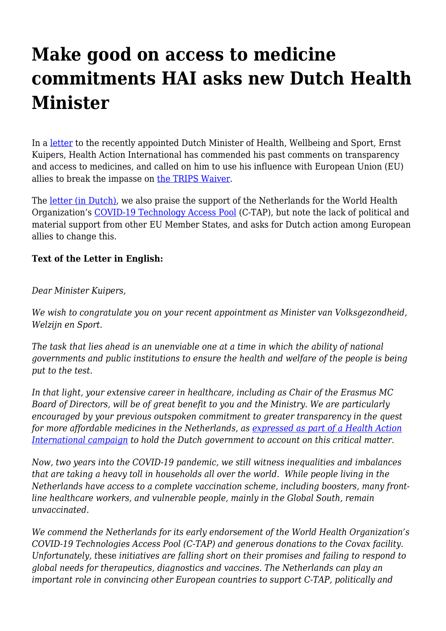## **Make good on access to medicine commitments HAI asks new Dutch Health Minister**

In a [letter](https://haiweb.org/wp-content/uploads/2022/01/Brief_minister-Kuipers_Jan2022.pdf) to the recently appointed Dutch Minister of Health, Wellbeing and Sport, Ernst Kuipers, Health Action International has commended his past comments on transparency and access to medicines, and called on him to use his influence with European Union (EU) allies to break the impasse on [the TRIPS Waiver](https://haiweb.org/trips-waiver-the-push-continues/).

The [letter \(in Dutch\)](https://haiweb.org/wp-content/uploads/2022/01/Brief_minister-Kuipers_Jan2022.pdf), we also praise the support of the Netherlands for the World Health Organization's [COVID-19 Technology Access Pool](https://www.who.int/initiatives/covid-19-technology-access-pool) (C-TAP), but note the lack of political and material support from other EU Member States, and asks for Dutch action among European allies to change this.

## **Text of the Letter in English:**

## *Dear Minister Kuipers,*

*We wish to congratulate you on your recent appointment as Minister van Volksgezondheid, Welzijn en Sport.*

*The task that lies ahead is an unenviable one at a time in which the ability of national governments and public institutions to ensure the health and welfare of the people is being put to the test*.

*In that light, your extensive career in healthcare, including as Chair of the Erasmus MC Board of Directors, will be of great benefit to you and the Ministry. We are particularly encouraged by your previous outspoken commitment to greater transparency in the quest for more affordable medicines in the Netherlands, as [expressed as part of a Health Action](https://www.youtube.com/watch?v=kNK9cekobz4) [International campaign](https://www.youtube.com/watch?v=kNK9cekobz4) to hold the Dutch government to account on this critical matter.*

*Now, two years into the COVID-19 pandemic, we still witness inequalities and imbalances that are taking a heavy toll in households all over the world. While people living in the Netherlands have access to a complete vaccination scheme, including boosters, many frontline healthcare workers, and vulnerable people, mainly in the Global South, remain unvaccinated.*

*We commend the Netherlands for its early endorsement of the World Health Organization's COVID-19 Technologies Access Pool (C-TAP) and generous donations to the Covax facility. Unfortunately, t*hese *initiatives are falling short on their promises and failing to respond to global needs for therapeutics, diagnostics and vaccines. The Netherlands can play an important role in convincing other European countries to support C-TAP, politically and*